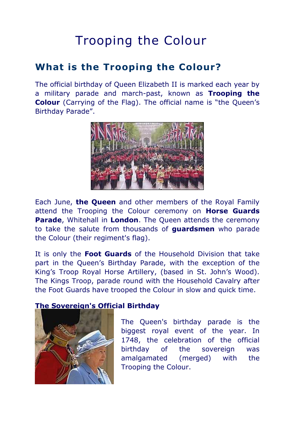# Trooping the Colour

## **What is the Trooping the Colour?**

The official birthday of Queen Elizabeth II is marked each year by a military parade and march-past, known as **Trooping the Colour** (Carrying of the Flag). The official name is "the Queen's Birthday Parade".



Each June, **the Queen** and other members of the Royal Family attend the Trooping the Colour ceremony on **Horse Guards Parade**, Whitehall in **London**. The Queen attends the ceremony to take the salute from thousands of **guardsmen** who parade the Colour (their regiment's flag).

It is only the **Foot Guards** of the Household Division that take part in the Queen's Birthday Parade, with the exception of the King's Troop Royal Horse Artillery, (based in St. John's Wood). The Kings Troop, parade round with the Household Cavalry after the Foot Guards have trooped the Colour in slow and quick time.

### **The Sovereign's Official Birthday**



The Queen's birthday parade is the biggest royal event of the year. In 1748, the celebration of the official birthday of the sovereign was amalgamated (merged) with the Trooping the Colour.